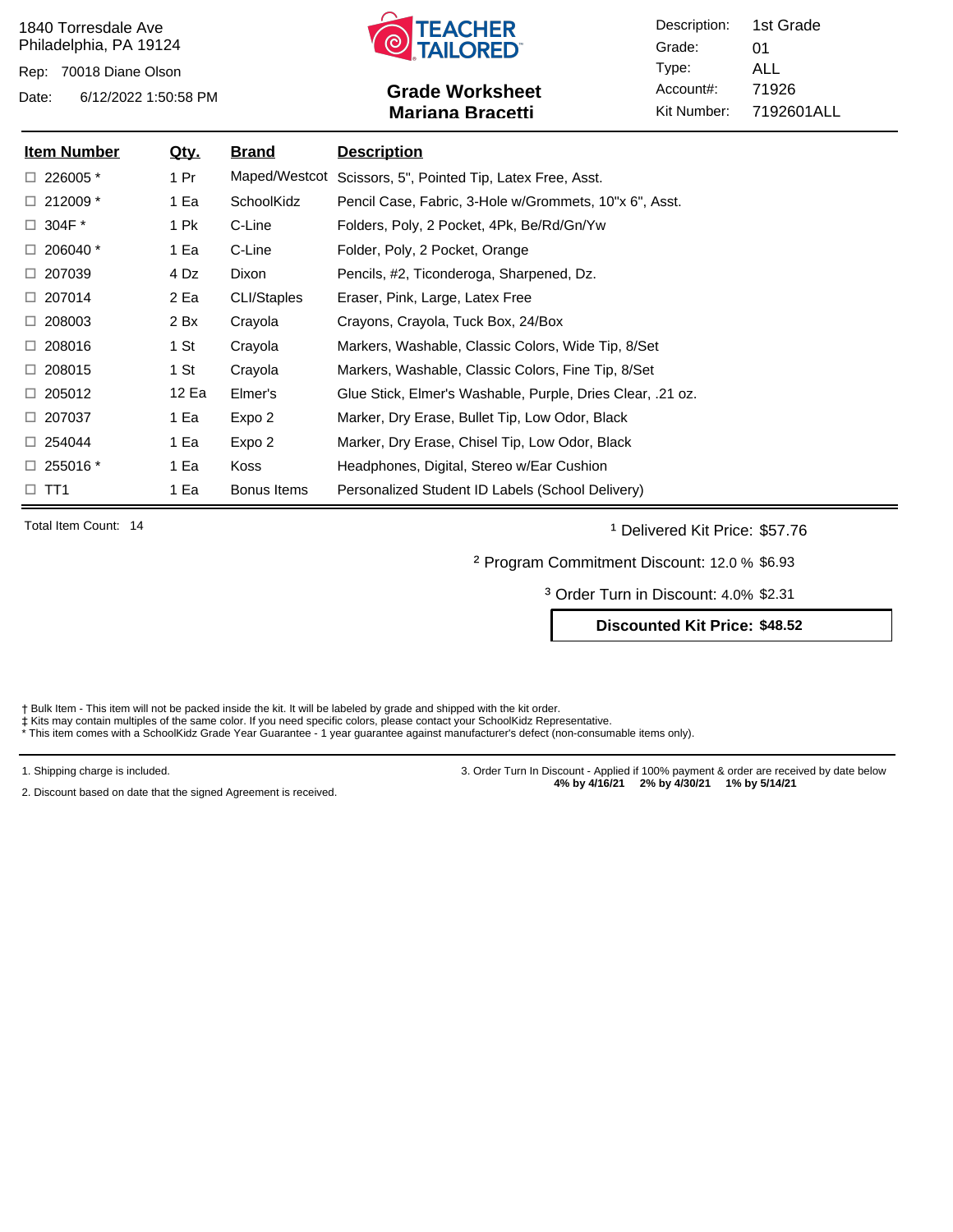Rep: 70018 Diane Olson



# Date: 6/12/2022 1:50:58 PM **Grade Worksheet** Account#: 71926 **Mariana Bracetti**

Description: Grade: Type: Account#: Kit Number: 01 ALL 7192601ALL 1st Grade

| <u>Item Number</u> | <u>Qty.</u> | <b>Brand</b> | <b>Description</b>                                         |
|--------------------|-------------|--------------|------------------------------------------------------------|
| $\Box$ 226005 $*$  | 1 Pr        |              | Maped/Westcot Scissors, 5", Pointed Tip, Latex Free, Asst. |
| $\Box$ 212009 *    | 1 Ea        | SchoolKidz   | Pencil Case, Fabric, 3-Hole w/Grommets, 10"x 6", Asst.     |
| $\Box$ 304F $^*$   | 1 Pk        | C-Line       | Folders, Poly, 2 Pocket, 4Pk, Be/Rd/Gn/Yw                  |
| $\Box$ 206040 $^*$ | 1 Ea        | C-Line       | Folder, Poly, 2 Pocket, Orange                             |
| $\Box$ 207039      | 4 Dz        | Dixon        | Pencils, #2, Ticonderoga, Sharpened, Dz.                   |
| $\Box$ 207014      | 2 Ea        | CLI/Staples  | Eraser, Pink, Large, Latex Free                            |
| $\Box$ 208003      | 2 Bx        | Crayola      | Crayons, Crayola, Tuck Box, 24/Box                         |
| $\Box$ 208016      | 1 St        | Crayola      | Markers, Washable, Classic Colors, Wide Tip, 8/Set         |
| $\Box$ 208015      | 1 St        | Crayola      | Markers, Washable, Classic Colors, Fine Tip, 8/Set         |
| $\Box 205012$      | 12 Ea       | Elmer's      | Glue Stick, Elmer's Washable, Purple, Dries Clear, .21 oz. |
| $\Box$ 207037      | 1 Ea        | Expo 2       | Marker, Dry Erase, Bullet Tip, Low Odor, Black             |
| $\Box$ 254044      | 1 Ea        | Expo 2       | Marker, Dry Erase, Chisel Tip, Low Odor, Black             |
| $\Box$ 255016 $^*$ | 1 Ea        | Koss         | Headphones, Digital, Stereo w/Ear Cushion                  |
| $\Box$ TT1         | 1 Ea        | Bonus Items  | Personalized Student ID Labels (School Delivery)           |

Total Item Count: 14 **and Transfer Count: 14** Delivered Kit Price: \$57.76

² Program Commitment Discount: 12.0 % \$6.93

³ Order Turn in Discount: 4.0% \$2.31

**Discounted Kit Price: \$48.52**

† Bulk Item - This item will not be packed inside the kit. It will be labeled by grade and shipped with the kit order.<br>‡ Kits may contain multiples of the same color. If you need specific colors, please contact your School

1. Shipping charge is included.

2. Discount based on date that the signed Agreement is received.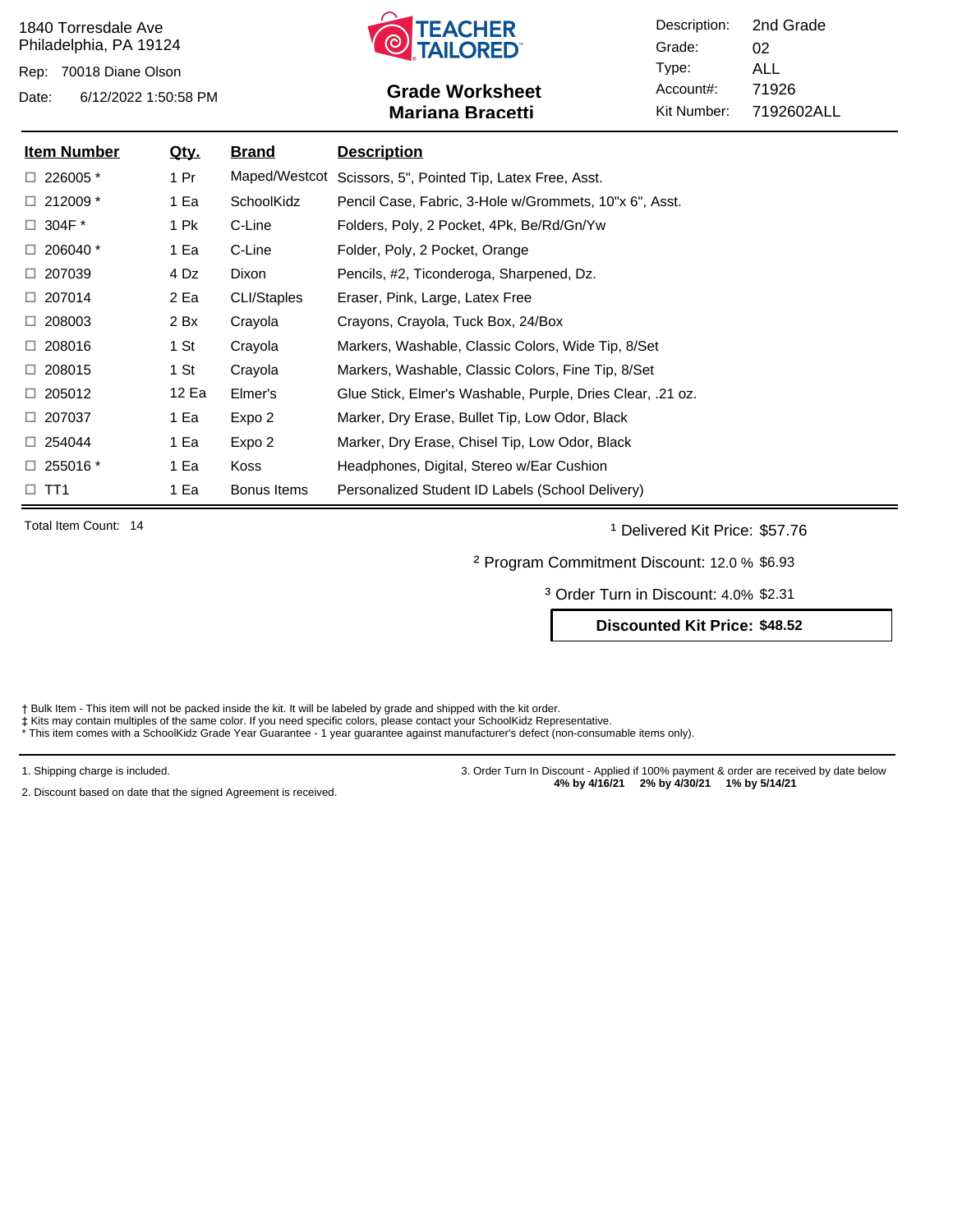Rep: 70018 Diane Olson



# Date: 6/12/2022 1:50:58 PM **Grade Worksheet** Account#: 71926 **Mariana Bracetti**

Description: Grade: Type: Account#: Kit Number: 02 ALL 7192602ALL 2nd Grade

| <b>Item Number</b> | <u>Qty.</u> | Brand              | <b>Description</b>                                         |
|--------------------|-------------|--------------------|------------------------------------------------------------|
| $\Box$ 226005 $*$  | 1 Pr        |                    | Maped/Westcot Scissors, 5", Pointed Tip, Latex Free, Asst. |
| $\Box$ 212009 *    | 1 Ea        | SchoolKidz         | Pencil Case, Fabric, 3-Hole w/Grommets, 10"x 6", Asst.     |
| $\Box$ 304F $^*$   | 1 Pk        | C-Line             | Folders, Poly, 2 Pocket, 4Pk, Be/Rd/Gn/Yw                  |
| $\Box$ 206040 $^*$ | 1 Ea        | C-Line             | Folder, Poly, 2 Pocket, Orange                             |
| $\Box$ 207039      | 4 Dz        | Dixon              | Pencils, #2, Ticonderoga, Sharpened, Dz.                   |
| $\Box$ 207014      | 2 Ea        | <b>CLI/Staples</b> | Eraser, Pink, Large, Latex Free                            |
| $\Box$ 208003      | 2 Bx        | Crayola            | Crayons, Crayola, Tuck Box, 24/Box                         |
| $\Box$ 208016      | 1 St        | Crayola            | Markers, Washable, Classic Colors, Wide Tip, 8/Set         |
| $\Box$ 208015      | 1 St        | Crayola            | Markers, Washable, Classic Colors, Fine Tip, 8/Set         |
| $\Box 205012$      | 12 Ea       | Elmer's            | Glue Stick, Elmer's Washable, Purple, Dries Clear, .21 oz. |
| $\Box$ 207037      | 1 Ea        | Expo 2             | Marker, Dry Erase, Bullet Tip, Low Odor, Black             |
| $\Box$ 254044      | 1 Ea        | Expo 2             | Marker, Dry Erase, Chisel Tip, Low Odor, Black             |
| $\Box$ 255016 $^*$ | 1 Ea        | Koss               | Headphones, Digital, Stereo w/Ear Cushion                  |
| $\Box$ TT1         | 1 Ea        | Bonus Items        | Personalized Student ID Labels (School Delivery)           |

Total Item Count: 14 **and Transfer Count: 14** Delivered Kit Price: \$57.76

² Program Commitment Discount: 12.0 % \$6.93

³ Order Turn in Discount: 4.0% \$2.31

**Discounted Kit Price: \$48.52**

† Bulk Item - This item will not be packed inside the kit. It will be labeled by grade and shipped with the kit order.<br>‡ Kits may contain multiples of the same color. If you need specific colors, please contact your School

1. Shipping charge is included.

2. Discount based on date that the signed Agreement is received.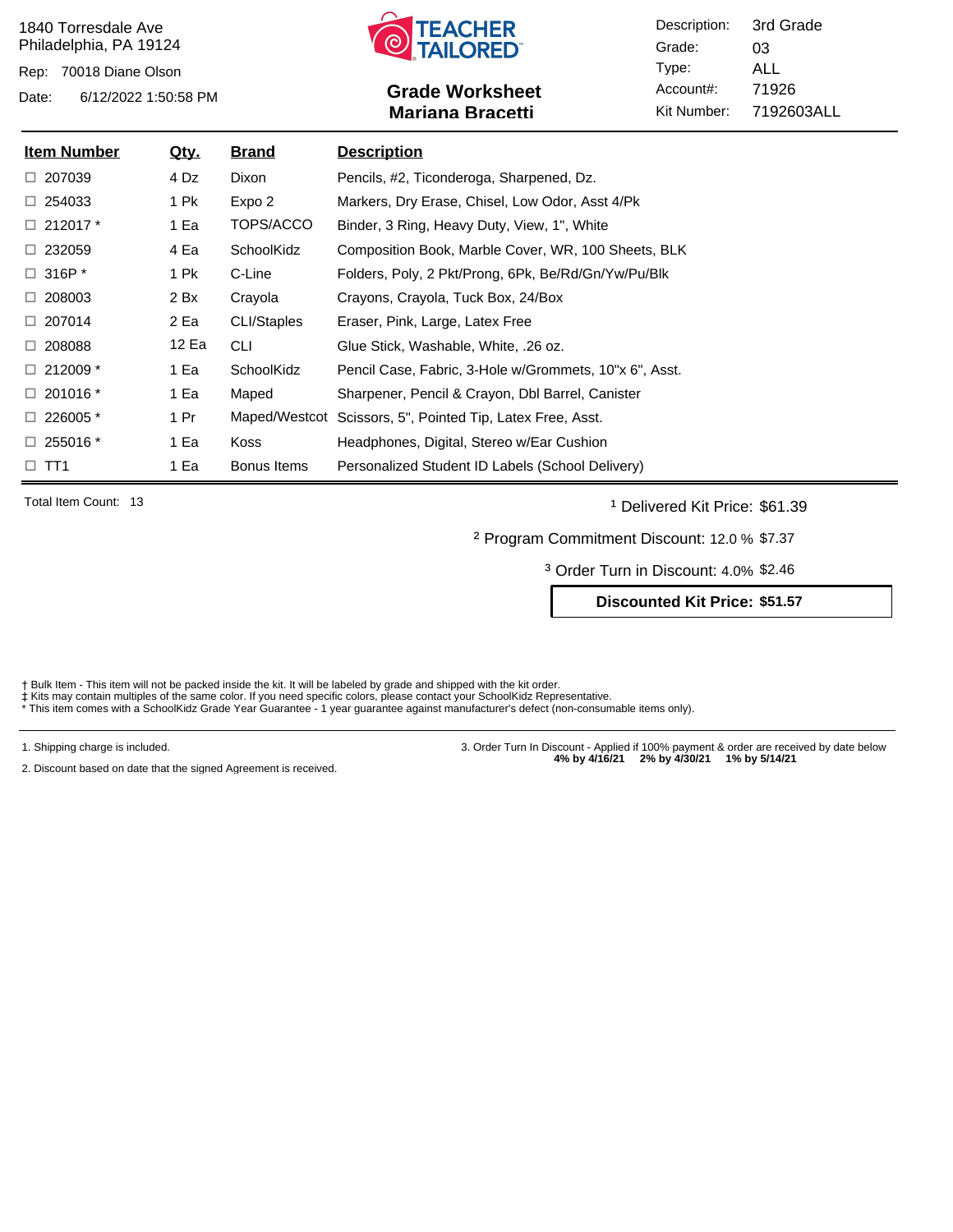Rep: 70018 Diane Olson



# Date: 6/12/2022 1:50:58 PM **Grade Worksheet** Account#: 71926 **Mariana Bracetti**

Description: Grade: Type: Account#: Kit Number: 03 ALL 7192603ALL 3rd Grade

| <b>Item Number</b>       | <u>Qty.</u> | <b>Brand</b>       | <b>Description</b>                                     |
|--------------------------|-------------|--------------------|--------------------------------------------------------|
| $\Box$ 207039            | 4 Dz        | Dixon              | Pencils, #2, Ticonderoga, Sharpened, Dz.               |
| $\Box$ 254033            | 1 Pk        | Expo 2             | Markers, Dry Erase, Chisel, Low Odor, Asst 4/Pk        |
| $\Box$ 212017 $^*$       | 1 Ea        | TOPS/ACCO          | Binder, 3 Ring, Heavy Duty, View, 1", White            |
| $\Box$ 232059            | 4 Ea        | SchoolKidz         | Composition Book, Marble Cover, WR, 100 Sheets, BLK    |
| $\Box$ 316P <sup>*</sup> | 1 Pk        | C-Line             | Folders, Poly, 2 Pkt/Prong, 6Pk, Be/Rd/Gn/Yw/Pu/Blk    |
| $\Box$ 208003            | 2 Bx        | Crayola            | Crayons, Crayola, Tuck Box, 24/Box                     |
| $\Box$ 207014            | 2 Ea        | <b>CLI/Staples</b> | Eraser, Pink, Large, Latex Free                        |
| $\Box$ 208088            | 12 Ea       | <b>CLI</b>         | Glue Stick, Washable, White, .26 oz.                   |
| $\Box$ 212009 $*$        | 1 Ea        | SchoolKidz         | Pencil Case, Fabric, 3-Hole w/Grommets, 10"x 6", Asst. |
| $\Box$ 201016 $^*$       | 1 Ea        | Maped              | Sharpener, Pencil & Crayon, Dbl Barrel, Canister       |
| $\Box$ 226005 $*$        | 1 Pr        | Maped/Westcot      | Scissors, 5", Pointed Tip, Latex Free, Asst.           |
| $\Box$ 255016 $^*$       | 1 Ea        | Koss               | Headphones, Digital, Stereo w/Ear Cushion              |
| $\Box$ TT1               | 1 Ea        | Bonus Items        | Personalized Student ID Labels (School Delivery)       |

Total Item Count: 13 **and Transfer Count: 13** Delivered Kit Price: \$61.39

² Program Commitment Discount: 12.0 % \$7.37

³ Order Turn in Discount: 4.0% \$2.46

**Discounted Kit Price: \$51.57**

† Bulk Item - This item will not be packed inside the kit. It will be labeled by grade and shipped with the kit order.<br>‡ Kits may contain multiples of the same color. If you need specific colors, please contact your School

1. Shipping charge is included.

2. Discount based on date that the signed Agreement is received.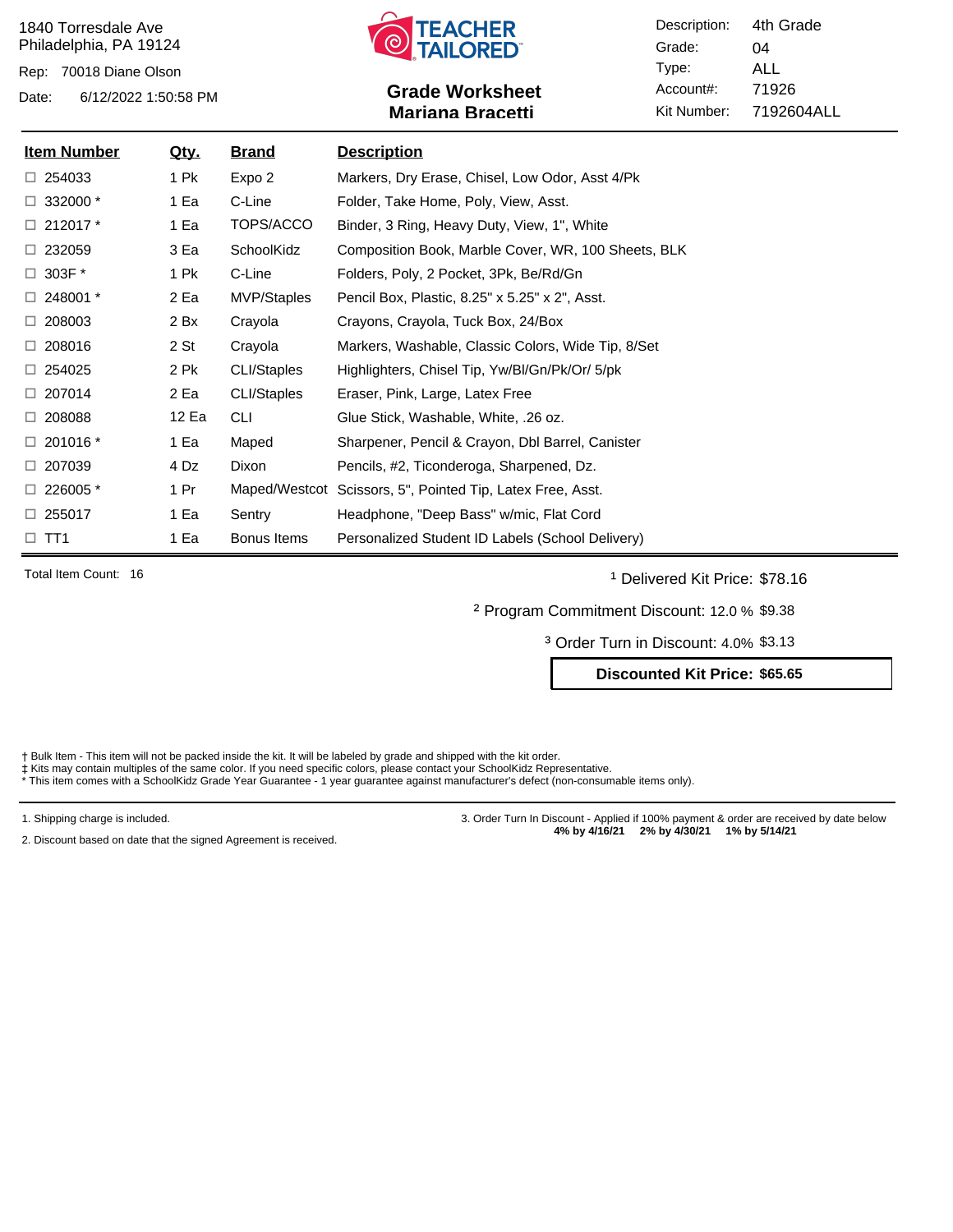Rep: 70018 Diane Olson



# Date: 6/12/2022 1:50:58 PM **Grade Worksheet** Account#: 71926 **Mariana Bracetti**

Description: Grade: Type: Account#: Kit Number: 04 ALL 7192604ALL 4th Grade

| <b>Item Number</b> | <u>Qty.</u> | <u>Brand</u> | <b>Description</b>                                         |
|--------------------|-------------|--------------|------------------------------------------------------------|
| $\Box$ 254033      | 1 Pk        | Expo 2       | Markers, Dry Erase, Chisel, Low Odor, Asst 4/Pk            |
| $\Box$ 332000 $*$  | 1 Ea        | C-Line       | Folder, Take Home, Poly, View, Asst.                       |
| $\Box$ 212017 $*$  | 1 Ea        | TOPS/ACCO    | Binder, 3 Ring, Heavy Duty, View, 1", White                |
| $\Box$ 232059      | 3 Ea        | SchoolKidz   | Composition Book, Marble Cover, WR, 100 Sheets, BLK        |
| $\Box$ 303F $^*$   | 1 Pk        | C-Line       | Folders, Poly, 2 Pocket, 3Pk, Be/Rd/Gn                     |
| $\Box$ 248001 $^*$ | 2 Ea        | MVP/Staples  | Pencil Box, Plastic, 8.25" x 5.25" x 2", Asst.             |
| $\Box$ 208003      | 2 Bx        | Crayola      | Crayons, Crayola, Tuck Box, 24/Box                         |
| $\Box$ 208016      | 2 St        | Crayola      | Markers, Washable, Classic Colors, Wide Tip, 8/Set         |
| $\Box$ 254025      | 2 Pk        | CLI/Staples  | Highlighters, Chisel Tip, Yw/Bl/Gn/Pk/Or/ 5/pk             |
| $\Box$ 207014      | 2 Ea        | CLI/Staples  | Eraser, Pink, Large, Latex Free                            |
| $\Box$ 208088      | 12 Ea       | <b>CLI</b>   | Glue Stick, Washable, White, .26 oz.                       |
| $\Box$ 201016 $^*$ | 1 Ea        | Maped        | Sharpener, Pencil & Crayon, Dbl Barrel, Canister           |
| $\Box$ 207039      | 4 Dz        | Dixon        | Pencils, #2, Ticonderoga, Sharpened, Dz.                   |
| $\Box$ 226005 $*$  | 1 Pr        |              | Maped/Westcot Scissors, 5", Pointed Tip, Latex Free, Asst. |
| $\Box$ 255017      | 1 Ea        | Sentry       | Headphone, "Deep Bass" w/mic, Flat Cord                    |
| $\square$ TT1      | 1 Ea        | Bonus Items  | Personalized Student ID Labels (School Delivery)           |

Total Item Count: 16 **and 1** Delivered Kit Price: \$78.16

² Program Commitment Discount: 12.0 % \$9.38

³ Order Turn in Discount: 4.0% \$3.13

### **Discounted Kit Price: \$65.65**

- † Bulk Item This item will not be packed inside the kit. It will be labeled by grade and shipped with the kit order.<br>‡ Kits may contain multiples of the same color. If you need specific colors, please contact your School
- 

1. Shipping charge is included.

2. Discount based on date that the signed Agreement is received.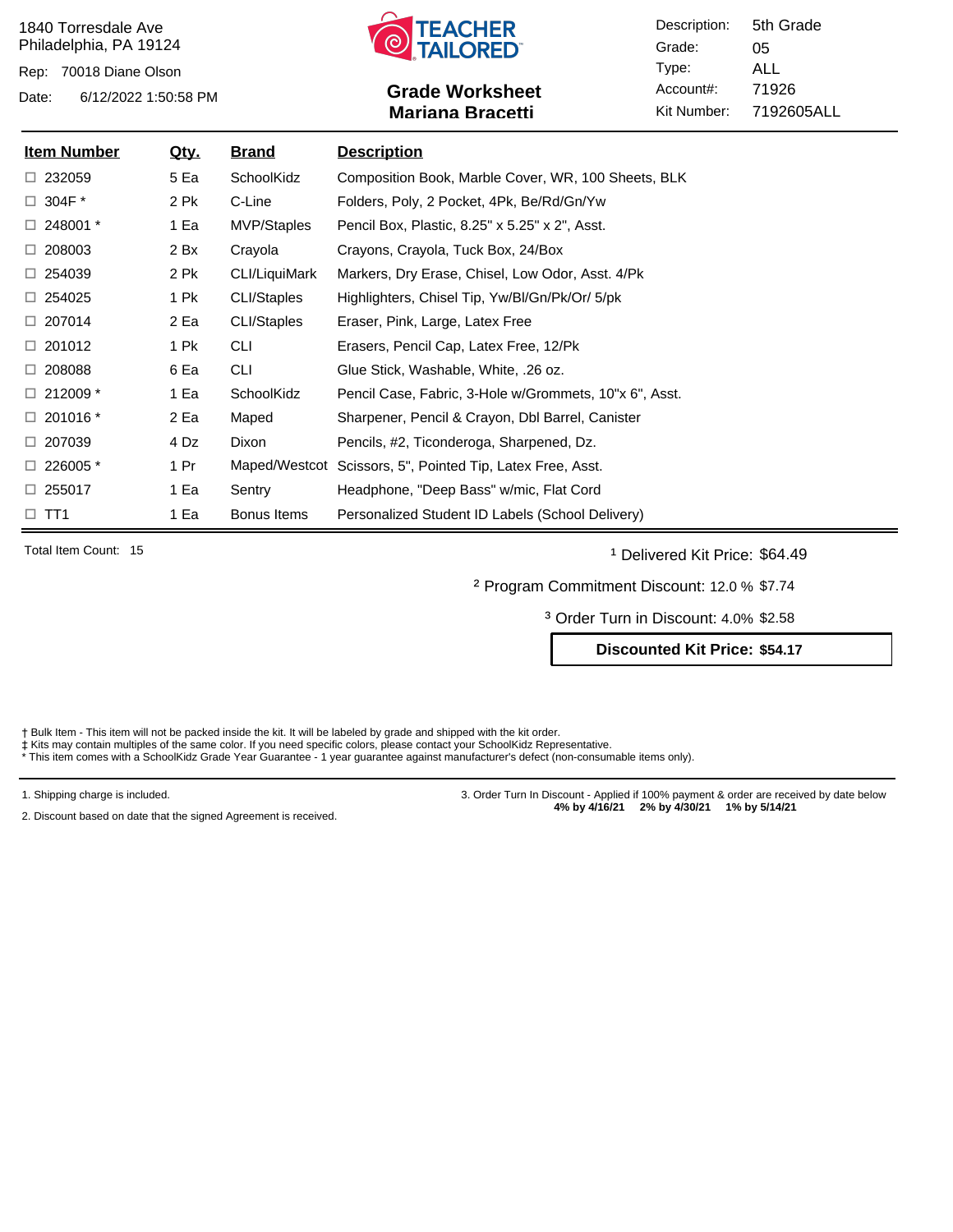Rep: 70018 Diane Olson



# Date: 6/12/2022 1:50:58 PM **Grade Worksheet** Account#: 71926 **Mariana Bracetti**

Description: Grade: Type: Account#: Kit Number: 05 ALL 7192605ALL 5th Grade

| <b>Item Number</b> | <u>Qty.</u> | <u>Brand</u>  | <b>Description</b>                                         |
|--------------------|-------------|---------------|------------------------------------------------------------|
| $\Box$ 232059      | 5 Ea        | SchoolKidz    | Composition Book, Marble Cover, WR, 100 Sheets, BLK        |
| $\Box$ 304F $^*$   | 2 Pk        | C-Line        | Folders, Poly, 2 Pocket, 4Pk, Be/Rd/Gn/Yw                  |
| $\Box$ 248001 $^*$ | 1 Ea        | MVP/Staples   | Pencil Box, Plastic, 8.25" x 5.25" x 2", Asst.             |
| $\Box$ 208003      | 2 Bx        | Crayola       | Crayons, Crayola, Tuck Box, 24/Box                         |
| $\Box$ 254039      | 2 Pk        | CLI/LiquiMark | Markers, Dry Erase, Chisel, Low Odor, Asst. 4/Pk           |
| $\Box$ 254025      | 1 Pk        | CLI/Staples   | Highlighters, Chisel Tip, Yw/Bl/Gn/Pk/Or/ 5/pk             |
| $\Box$ 207014      | 2 Ea        | CLI/Staples   | Eraser, Pink, Large, Latex Free                            |
| $\Box$ 201012      | 1 Pk        | <b>CLI</b>    | Erasers, Pencil Cap, Latex Free, 12/Pk                     |
| $\Box$ 208088      | 6 Ea        | <b>CLI</b>    | Glue Stick, Washable, White, .26 oz.                       |
| $\Box$ 212009 *    | 1 Ea        | SchoolKidz    | Pencil Case, Fabric, 3-Hole w/Grommets, 10"x 6", Asst.     |
| $\Box$ 201016 $^*$ | 2 Ea        | Maped         | Sharpener, Pencil & Crayon, Dbl Barrel, Canister           |
| $\Box$ 207039      | 4 Dz        | Dixon         | Pencils, #2, Ticonderoga, Sharpened, Dz.                   |
| $\Box$ 226005 $*$  | 1 Pr        |               | Maped/Westcot Scissors, 5", Pointed Tip, Latex Free, Asst. |
| $\Box$ 255017      | 1 Ea        | Sentry        | Headphone, "Deep Bass" w/mic, Flat Cord                    |
| $\Box$ TT1         | 1 Ea        | Bonus Items   | Personalized Student ID Labels (School Delivery)           |

Total Item Count: 15 **and Transfer Count: 15** and the United States of Delivered Kit Price: \$64.49

² Program Commitment Discount: 12.0 % \$7.74

³ Order Turn in Discount: 4.0% \$2.58

**Discounted Kit Price: \$54.17**

Bulk Item - This item will not be packed inside the kit. It will be labeled by grade and shipped with the kit order.

‡ Kits may contain multiples of the same color. If you need specific colors, please contact your SchoolKidz Representative.<br>\* This item comes with a SchoolKidz Grade Year Guarantee - 1 year guarantee against manufacturer's

1. Shipping charge is included.

2. Discount based on date that the signed Agreement is received.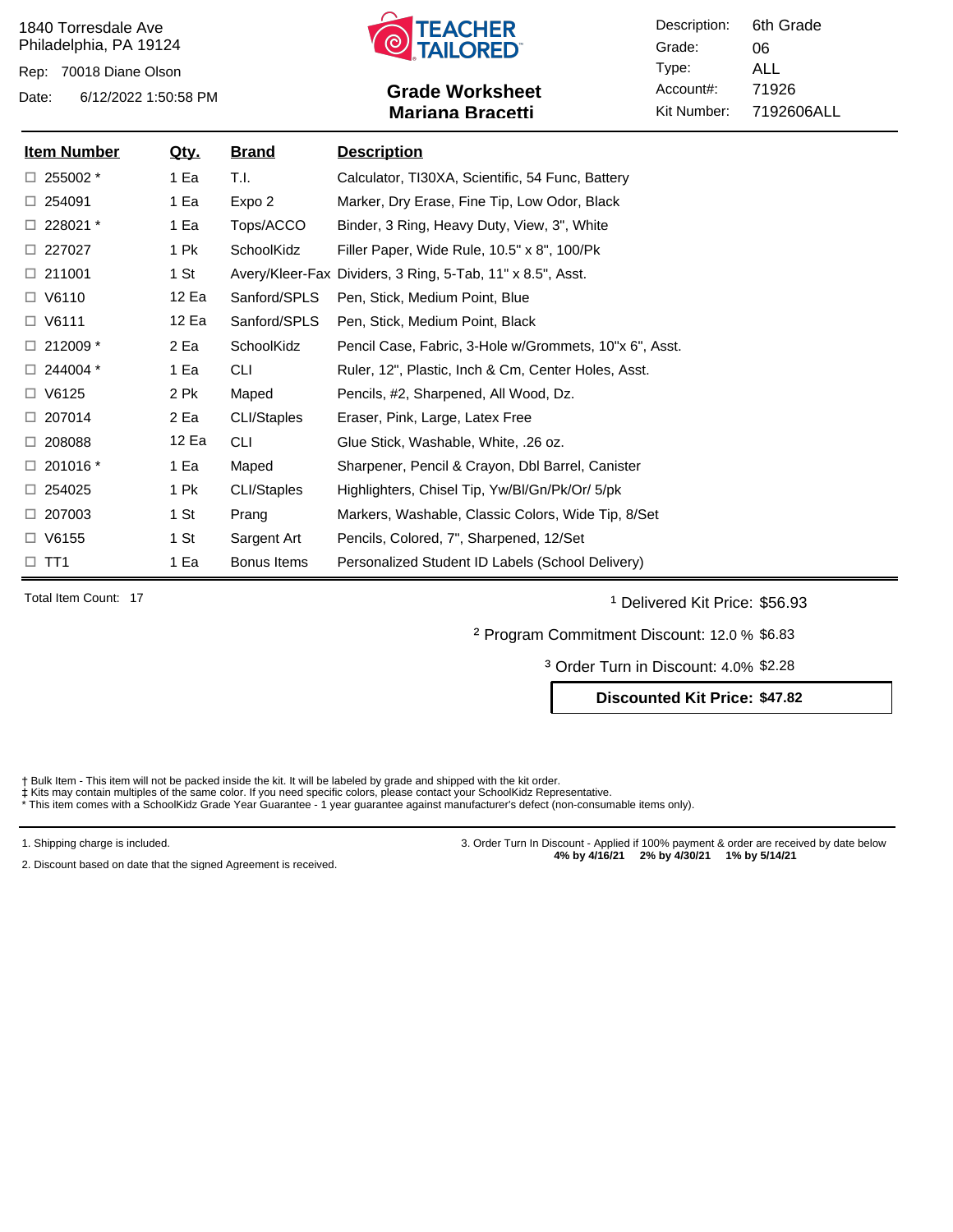Rep: 70018 Diane Olson



# Date: 6/12/2022 1:50:58 PM **Grade Worksheet** Account#: 71926 **Mariana Bracetti**

Description: Grade: Type: Account#: Kit Number: 06 ALL 7192606ALL 6th Grade

| <b>Item Number</b> | <u>Qty.</u> | <u>Brand</u> | <b>Description</b>                                         |
|--------------------|-------------|--------------|------------------------------------------------------------|
| $\Box$ 255002 $^*$ | 1 Ea        | T.I.         | Calculator, TI30XA, Scientific, 54 Func, Battery           |
| $\Box$ 254091      | 1 Ea        | Expo 2       | Marker, Dry Erase, Fine Tip, Low Odor, Black               |
| $\Box$ 228021 $*$  | 1 Ea        | Tops/ACCO    | Binder, 3 Ring, Heavy Duty, View, 3", White                |
| □ 227027           | 1 Pk        | SchoolKidz   | Filler Paper, Wide Rule, 10.5" x 8", 100/Pk                |
| $\Box$ 211001      | 1 St        |              | Avery/Kleer-Fax Dividers, 3 Ring, 5-Tab, 11" x 8.5", Asst. |
| $\Box$ V6110       | 12 Ea       | Sanford/SPLS | Pen, Stick, Medium Point, Blue                             |
| $\Box$ V6111       | 12 Ea       | Sanford/SPLS | Pen, Stick, Medium Point, Black                            |
| $\Box$ 212009 *    | 2 Ea        | SchoolKidz   | Pencil Case, Fabric, 3-Hole w/Grommets, 10"x 6", Asst.     |
| $\Box$ 244004 $^*$ | 1 Ea        | <b>CLI</b>   | Ruler, 12", Plastic, Inch & Cm, Center Holes, Asst.        |
| $\Box$ V6125       | 2 Pk        | Maped        | Pencils, #2, Sharpened, All Wood, Dz.                      |
| $\Box$ 207014      | 2 Ea        | CLI/Staples  | Eraser, Pink, Large, Latex Free                            |
| $\Box$ 208088      | 12 Ea       | <b>CLI</b>   | Glue Stick, Washable, White, .26 oz.                       |
| $\Box$ 201016 $*$  | 1 Ea        | Maped        | Sharpener, Pencil & Crayon, Dbl Barrel, Canister           |
| $\Box$ 254025      | 1 Pk        | CLI/Staples  | Highlighters, Chisel Tip, Yw/BI/Gn/Pk/Or/ 5/pk             |
| $\Box$ 207003      | 1 St        | Prang        | Markers, Washable, Classic Colors, Wide Tip, 8/Set         |
| $\Box$ V6155       | 1 St        | Sargent Art  | Pencils, Colored, 7", Sharpened, 12/Set                    |
| $\Box$ TT1         | 1 Ea        | Bonus Items  | Personalized Student ID Labels (School Delivery)           |

Total Item Count: 17 **and 1** Delivered Kit Price: \$56.93

² Program Commitment Discount: 12.0 % \$6.83

³ Order Turn in Discount: 4.0% \$2.28

**Discounted Kit Price: \$47.82**

Bulk Item - This item will not be packed inside the kit. It will be labeled by grade and shipped with the kit order.

‡ Kits may contain multiples of the same color. If you need specific colors, please contact your SchoolKidz Representative.<br>\* This item comes with a SchoolKidz Grade Year Guarantee - 1 year guarantee against manufacturer's

1. Shipping charge is included.

2. Discount based on date that the signed Agreement is received.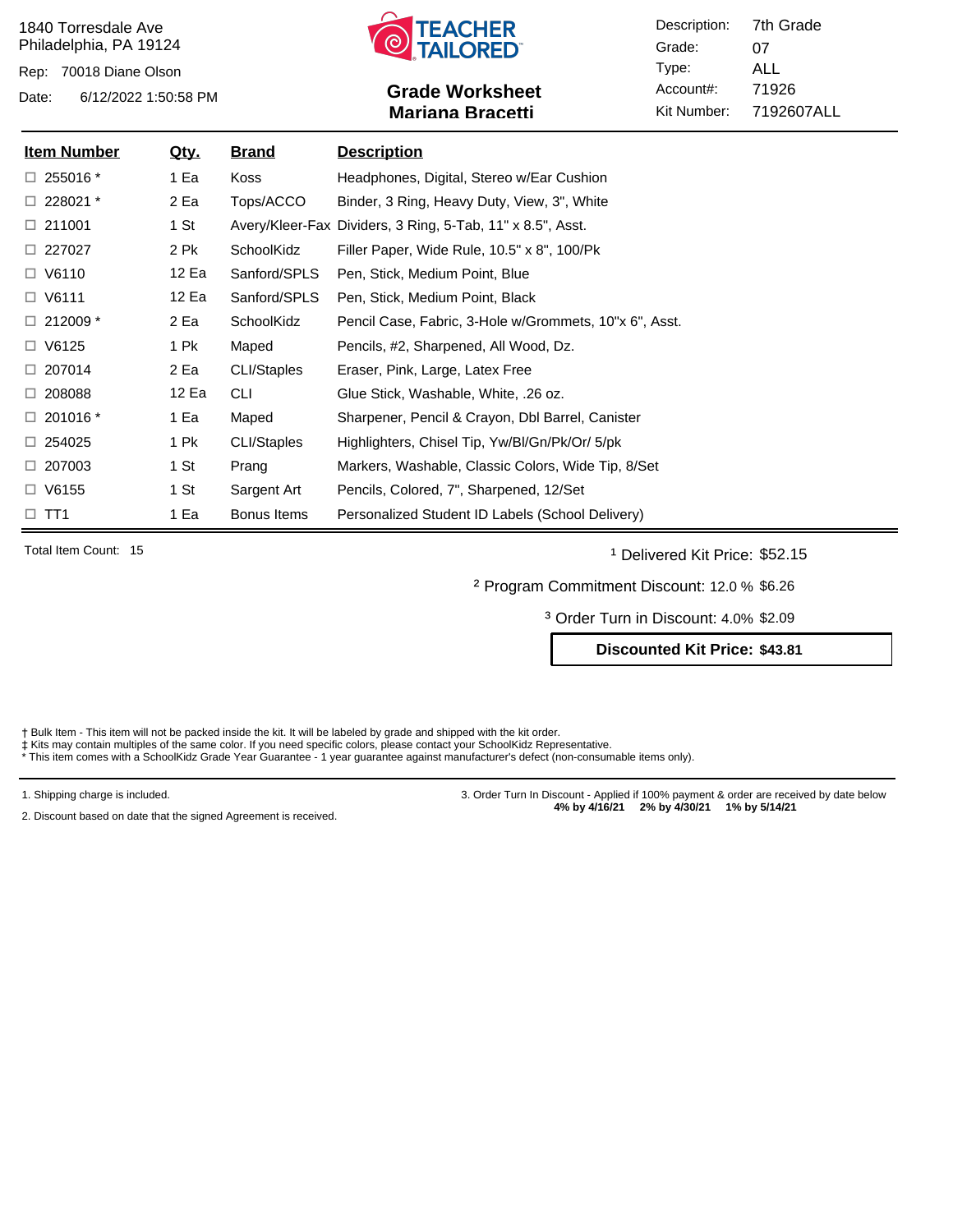Rep: 70018 Diane Olson



# Date: 6/12/2022 1:50:58 PM **Grade Worksheet** Account#: 71926 **Mariana Bracetti**

Description: Grade: Type: Account#: Kit Number: 07 ALL 7192607ALL 7th Grade

| <u>Item Number</u> | <u>Qty.</u> | <u>Brand</u> | <b>Description</b>                                         |
|--------------------|-------------|--------------|------------------------------------------------------------|
| $\Box$ 255016 $^*$ | 1 Ea        | Koss         | Headphones, Digital, Stereo w/Ear Cushion                  |
| $\Box$ 228021 $^*$ | 2 Ea        | Tops/ACCO    | Binder, 3 Ring, Heavy Duty, View, 3", White                |
| $\Box$ 211001      | 1 St        |              | Avery/Kleer-Fax Dividers, 3 Ring, 5-Tab, 11" x 8.5", Asst. |
| $\Box$ 227027      | 2 Pk        | SchoolKidz   | Filler Paper, Wide Rule, 10.5" x 8", 100/Pk                |
| $\Box$ V6110       | 12 Ea       | Sanford/SPLS | Pen, Stick, Medium Point, Blue                             |
| $\Box$ V6111       | 12 Ea       | Sanford/SPLS | Pen, Stick, Medium Point, Black                            |
| $\Box$ 212009 $*$  | 2 Ea        | SchoolKidz   | Pencil Case, Fabric, 3-Hole w/Grommets, 10"x 6", Asst.     |
| $\Box$ V6125       | 1 Pk        | Maped        | Pencils, #2, Sharpened, All Wood, Dz.                      |
| $\Box$ 207014      | 2 Ea        | CLI/Staples  | Eraser, Pink, Large, Latex Free                            |
| $\Box$ 208088      | 12 Ea       | <b>CLI</b>   | Glue Stick, Washable, White, .26 oz.                       |
| $\Box$ 201016 $*$  | 1 Ea        | Maped        | Sharpener, Pencil & Crayon, Dbl Barrel, Canister           |
| $\Box$ 254025      | 1 Pk        | CLI/Staples  | Highlighters, Chisel Tip, Yw/Bl/Gn/Pk/Or/ 5/pk             |
| $\Box$ 207003      | 1 St        | Prang        | Markers, Washable, Classic Colors, Wide Tip, 8/Set         |
| $\Box$ V6155       | 1 St        | Sargent Art  | Pencils, Colored, 7", Sharpened, 12/Set                    |
| $\square$ TT1      | 1 Ea        | Bonus Items  | Personalized Student ID Labels (School Delivery)           |

Total Item Count: 15 **and Transfer Count: 15** and the United States of Delivered Kit Price: \$52.15

² Program Commitment Discount: 12.0 % \$6.26

³ Order Turn in Discount: 4.0% \$2.09

**Discounted Kit Price: \$43.81**

Bulk Item - This item will not be packed inside the kit. It will be labeled by grade and shipped with the kit order.

‡ Kits may contain multiples of the same color. If you need specific colors, please contact your SchoolKidz Representative.<br>\* This item comes with a SchoolKidz Grade Year Guarantee - 1 year guarantee against manufacturer's

1. Shipping charge is included.

2. Discount based on date that the signed Agreement is received.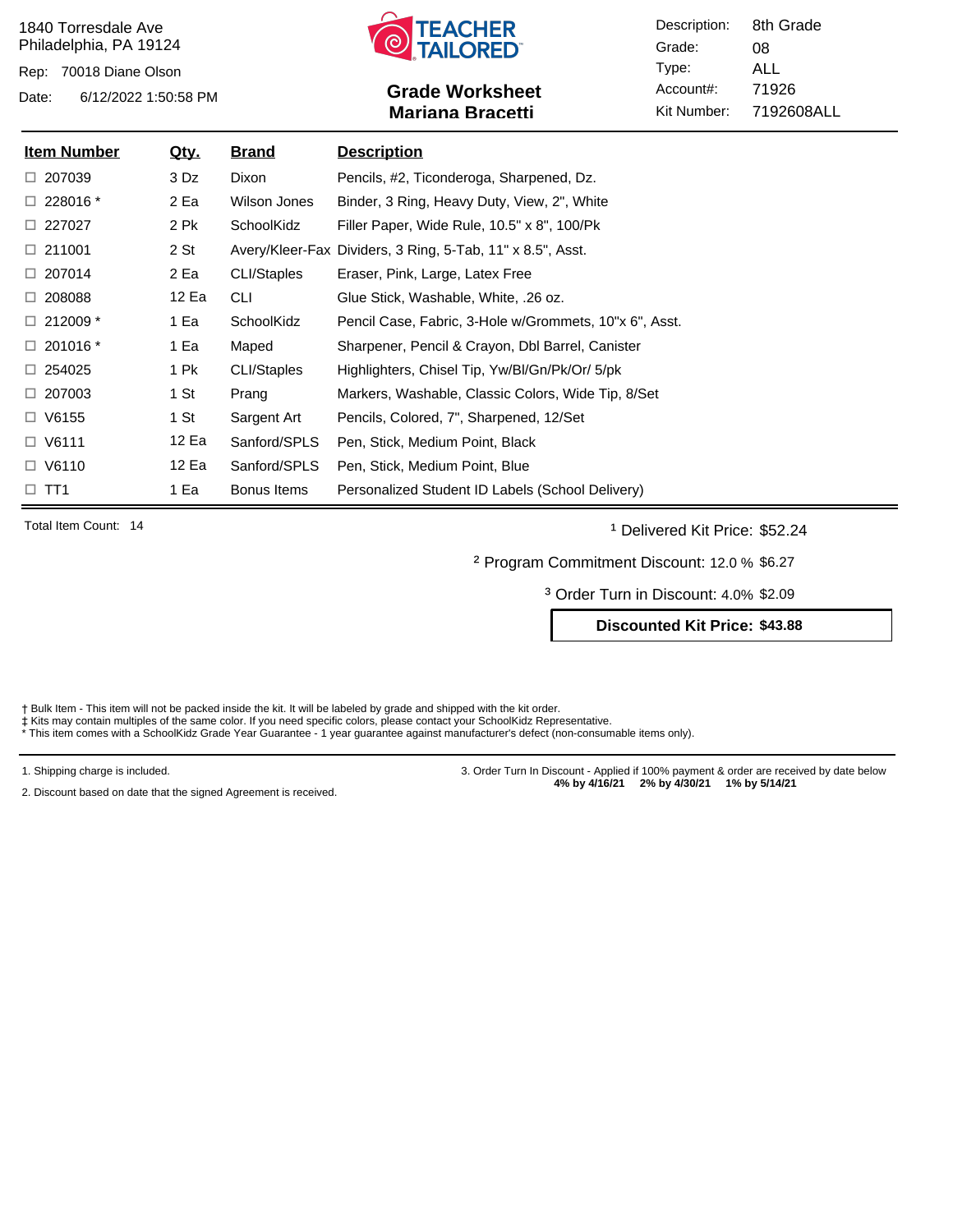Rep: 70018 Diane Olson



# Date: 6/12/2022 1:50:58 PM **Grade Worksheet** Account#: 71926 **Mariana Bracetti**

Description: Grade: Type: Account#: Kit Number: 08 ALL 7192608ALL 8th Grade

| <u>Item Number</u> | <u>Qty.</u> | <b>Brand</b> | <u>Description</u>                                         |
|--------------------|-------------|--------------|------------------------------------------------------------|
| $\Box$ 207039      | 3 Dz        | Dixon        | Pencils, #2, Ticonderoga, Sharpened, Dz.                   |
| $\Box$ 228016 $^*$ | 2 Ea        | Wilson Jones | Binder, 3 Ring, Heavy Duty, View, 2", White                |
| $\Box$ 227027      | 2 Pk        | SchoolKidz   | Filler Paper, Wide Rule, 10.5" x 8", 100/Pk                |
| $\Box$ 211001      | 2 St        |              | Avery/Kleer-Fax Dividers, 3 Ring, 5-Tab, 11" x 8.5", Asst. |
| $\Box$ 207014      | 2 Ea        | CLI/Staples  | Eraser, Pink, Large, Latex Free                            |
| $\Box$ 208088      | 12 Ea       | <b>CLI</b>   | Glue Stick, Washable, White, .26 oz.                       |
| $\Box$ 212009 $*$  | 1 Ea        | SchoolKidz   | Pencil Case, Fabric, 3-Hole w/Grommets, 10"x 6", Asst.     |
| $\Box$ 201016 $^*$ | 1 Ea        | Maped        | Sharpener, Pencil & Crayon, Dbl Barrel, Canister           |
| $\Box$ 254025      | 1 Pk        | CLI/Staples  | Highlighters, Chisel Tip, Yw/Bl/Gn/Pk/Or/ 5/pk             |
| $\Box$ 207003      | 1 St        | Prang        | Markers, Washable, Classic Colors, Wide Tip, 8/Set         |
| $\Box$ V6155       | 1 St        | Sargent Art  | Pencils, Colored, 7", Sharpened, 12/Set                    |
| $\Box$ V6111       | 12 Ea       | Sanford/SPLS | Pen, Stick, Medium Point, Black                            |
| $\Box$ V6110       | 12 Ea       | Sanford/SPLS | Pen, Stick, Medium Point, Blue                             |
| $\Box$ TT1         | 1 Ea        | Bonus Items  | Personalized Student ID Labels (School Delivery)           |

Total Item Count: 14 **and Traveller** 14 and 1 Delivered Kit Price: \$52.24

² Program Commitment Discount: 12.0 % \$6.27

³ Order Turn in Discount: 4.0% \$2.09

**Discounted Kit Price: \$43.88**

† Bulk Item - This item will not be packed inside the kit. It will be labeled by grade and shipped with the kit order.<br>‡ Kits may contain multiples of the same color. If you need specific colors, please contact your School

1. Shipping charge is included.

2. Discount based on date that the signed Agreement is received.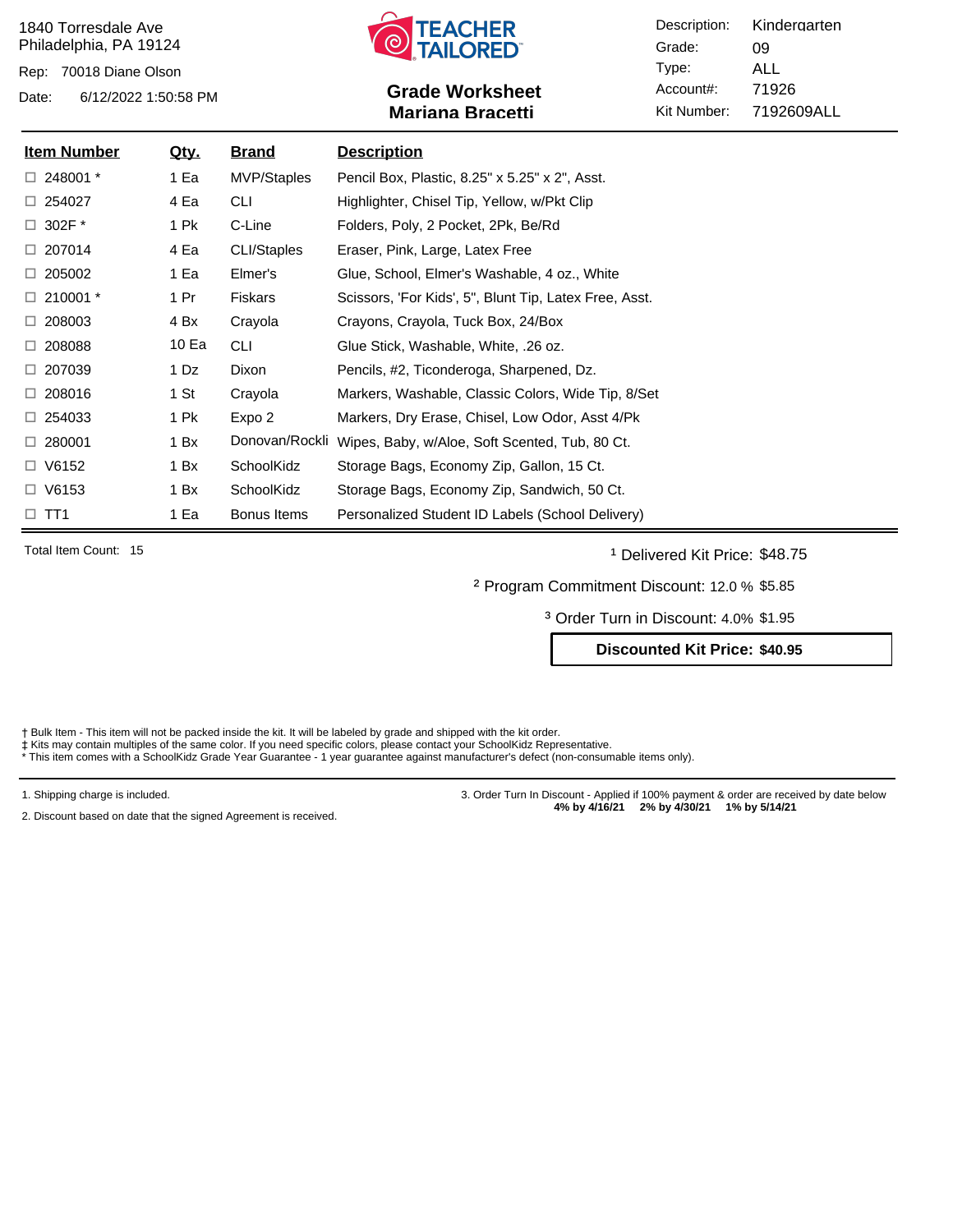Rep: 70018 Diane Olson



# Date: 6/12/2022 1:50:58 PM **Grade Worksheet** Account#: 71926 **Mariana Bracetti**

Description: Grade: Type: Account#: Kit Number: 09 ALL 7192609ALL Kindergarten

| <u>Item Number</u> | <u>Qty.</u> | <u>Brand</u>   | <u>Description</u>                                     |
|--------------------|-------------|----------------|--------------------------------------------------------|
| $\Box$ 248001 $^*$ | 1 Ea        | MVP/Staples    | Pencil Box, Plastic, 8.25" x 5.25" x 2", Asst.         |
| $\Box$ 254027      | 4 Ea        | <b>CLI</b>     | Highlighter, Chisel Tip, Yellow, w/Pkt Clip            |
| $\Box$ 302F $^*$   | 1 Pk        | C-Line         | Folders, Poly, 2 Pocket, 2Pk, Be/Rd                    |
| $\Box$ 207014      | 4 Ea        | CLI/Staples    | Eraser, Pink, Large, Latex Free                        |
| $\Box$ 205002      | 1 Ea        | Elmer's        | Glue, School, Elmer's Washable, 4 oz., White           |
| $\Box$ 210001 $^*$ | 1 Pr        | Fiskars        | Scissors, 'For Kids', 5", Blunt Tip, Latex Free, Asst. |
| $\Box$ 208003      | 4 Bx        | Crayola        | Crayons, Crayola, Tuck Box, 24/Box                     |
| $\Box$ 208088      | 10 Ea       | <b>CLI</b>     | Glue Stick, Washable, White, .26 oz.                   |
| $\Box$ 207039      | 1 Dz        | Dixon          | Pencils, #2, Ticonderoga, Sharpened, Dz.               |
| $\Box$ 208016      | 1 St        | Crayola        | Markers, Washable, Classic Colors, Wide Tip, 8/Set     |
| $\Box$ 254033      | 1 Pk        | Expo 2         | Markers, Dry Erase, Chisel, Low Odor, Asst 4/Pk        |
| $\Box$ 280001      | 1 Bx        | Donovan/Rockli | Wipes, Baby, w/Aloe, Soft Scented, Tub, 80 Ct.         |
| $\Box$ V6152       | 1 Bx        | SchoolKidz     | Storage Bags, Economy Zip, Gallon, 15 Ct.              |
| $\Box$ V6153       | 1 Bx        | SchoolKidz     | Storage Bags, Economy Zip, Sandwich, 50 Ct.            |
| $\Box$ TT1         | 1 Ea        | Bonus Items    | Personalized Student ID Labels (School Delivery)       |

Total Item Count: 15 **and 1** Delivered Kit Price: \$48.75

² Program Commitment Discount: 12.0 % \$5.85

³ Order Turn in Discount: 4.0% \$1.95

**Discounted Kit Price: \$40.95**

Bulk Item - This item will not be packed inside the kit. It will be labeled by grade and shipped with the kit order.

‡ Kits may contain multiples of the same color. If you need specific colors, please contact your SchoolKidz Representative.<br>\* This item comes with a SchoolKidz Grade Year Guarantee - 1 year guarantee against manufacturer's

1. Shipping charge is included.

2. Discount based on date that the signed Agreement is received.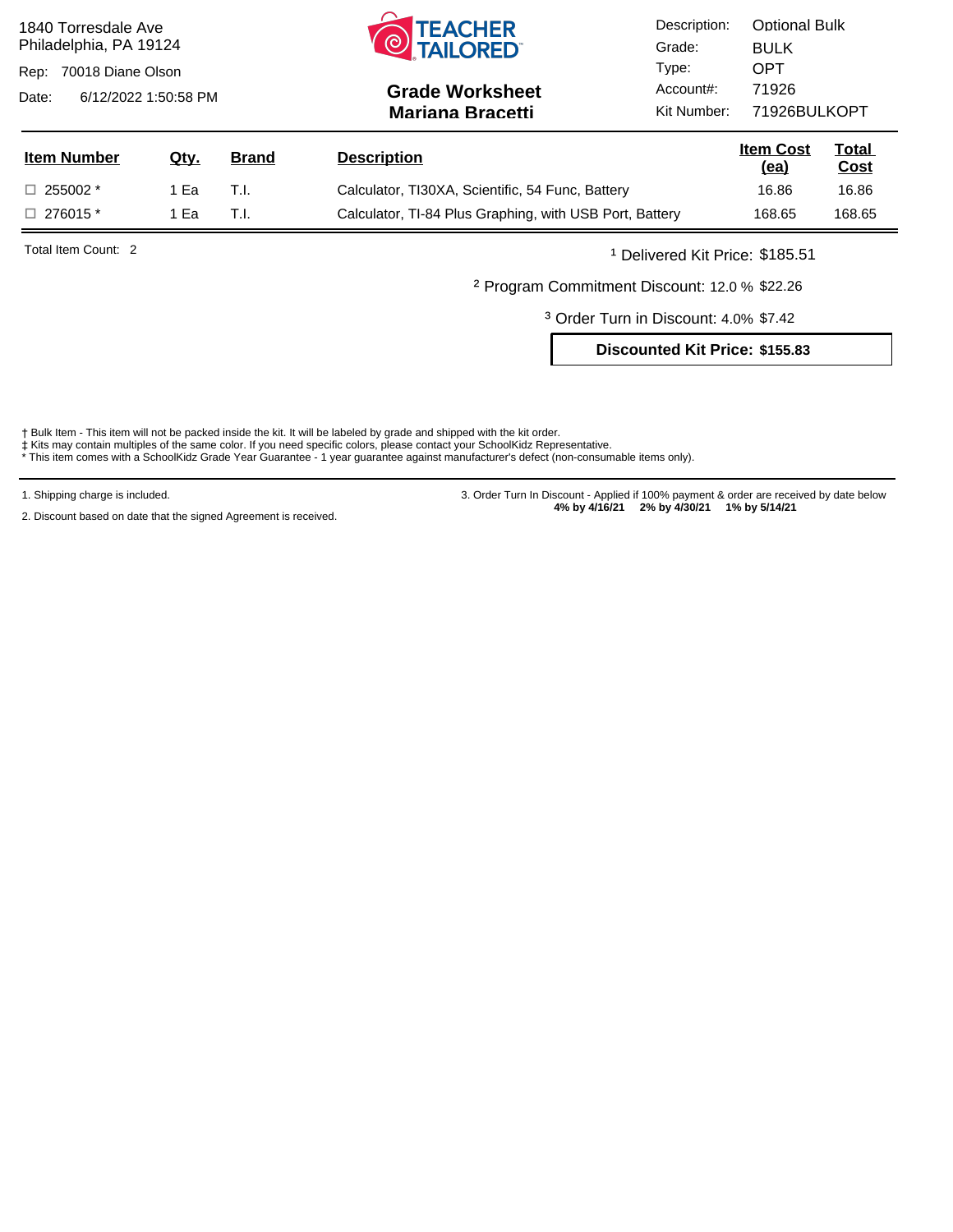| <b>TEACHER<br/>TAILORED</b><br>1840 Torresdale Ave<br>ര<br>Philadelphia, PA 19124<br>70018 Diane Olson<br>Rep:<br>6/12/2022 1:50:58 PM<br>Date: |             |              | <b>Grade Worksheet</b><br><b>Mariana Bracetti</b>       | Description:<br>Grade:<br>Type:<br>Account#:<br>Kit Number: | <b>Optional Bulk</b><br><b>BULK</b><br><b>OPT</b><br>71926<br>71926BULKOPT |                             |
|-------------------------------------------------------------------------------------------------------------------------------------------------|-------------|--------------|---------------------------------------------------------|-------------------------------------------------------------|----------------------------------------------------------------------------|-----------------------------|
| <b>Item Number</b>                                                                                                                              | <u>Qtv.</u> | <b>Brand</b> | <b>Description</b>                                      |                                                             | <b>Item Cost</b><br><u>(ea)</u>                                            | <u>Total</u><br><u>Cost</u> |
| $\Box$ 255002 $*$                                                                                                                               | 1 Ea        | T.I.         | Calculator, TI30XA, Scientific, 54 Func, Battery        |                                                             | 16.86                                                                      | 16.86                       |
| $\Box$ 276015 $*$                                                                                                                               | 1 Ea        | T.I.         | Calculator, TI-84 Plus Graphing, with USB Port, Battery |                                                             | 168.65                                                                     | 168.65                      |
| Total Item Count: 2                                                                                                                             |             |              |                                                         | <sup>1</sup> Delivered Kit Price: \$185.51                  |                                                                            |                             |

² Program Commitment Discount: 12.0 % \$22.26

³ Order Turn in Discount: 4.0% \$7.42

**Discounted Kit Price: \$155.83**

† Bulk Item - This item will not be packed inside the kit. It will be labeled by grade and shipped with the kit order.<br>‡ Kits may contain multiples of the same color. If you need specific colors, please contact your School

1. Shipping charge is included.

2. Discount based on date that the signed Agreement is received.